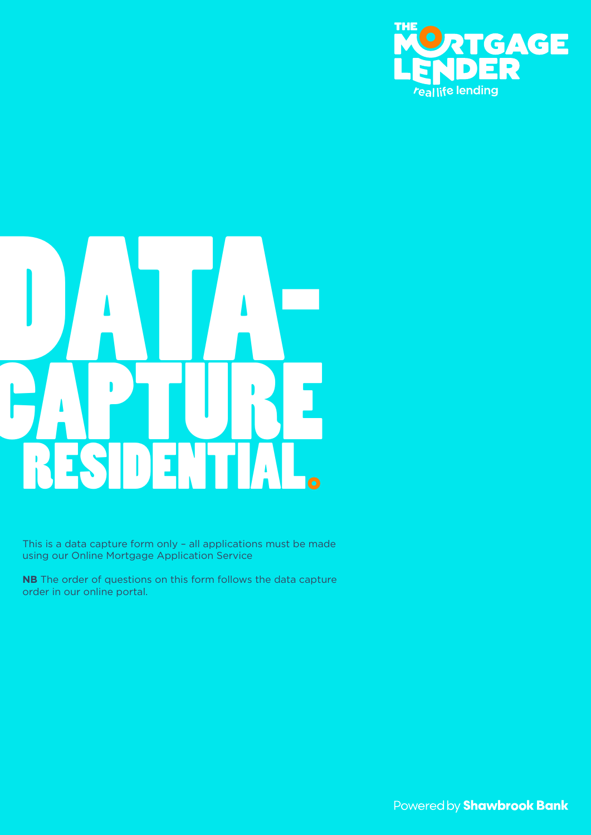

# RESIDENTIAL DATA-**CAPTURE**

This is a data capture form only – all applications must be made using our Online Mortgage Application Service

**NB** The order of questions on this form follows the data capture order in our online portal.

Powered by **Shawbrook Bank**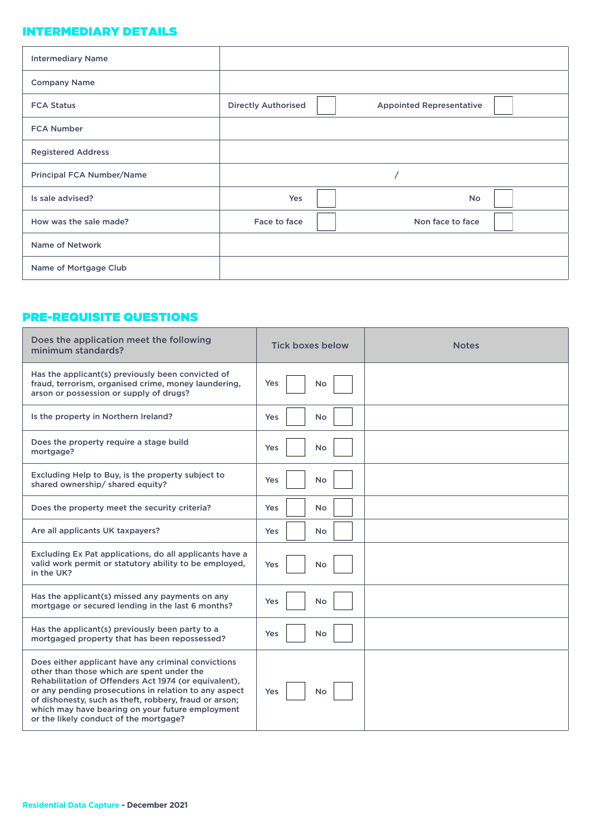### INTERMEDIARY DETAILS

| <b>Intermediary Name</b>         |                            |                                 |
|----------------------------------|----------------------------|---------------------------------|
| <b>Company Name</b>              |                            |                                 |
| <b>FCA Status</b>                | <b>Directly Authorised</b> | <b>Appointed Representative</b> |
| <b>FCA Number</b>                |                            |                                 |
| <b>Registered Address</b>        |                            |                                 |
| <b>Principal FCA Number/Name</b> |                            |                                 |
| Is sale advised?                 | Yes                        | <b>No</b>                       |
| How was the sale made?           | Face to face               | Non face to face                |
| <b>Name of Network</b>           |                            |                                 |
| Name of Mortgage Club            |                            |                                 |

# PRE-REQUISITE QUESTIONS

| Does the application meet the following<br>minimum standards?                                                                                                                                                                                                                                                                                                               | <b>Tick boxes below</b> | <b>Notes</b> |
|-----------------------------------------------------------------------------------------------------------------------------------------------------------------------------------------------------------------------------------------------------------------------------------------------------------------------------------------------------------------------------|-------------------------|--------------|
| Has the applicant(s) previously been convicted of<br>fraud, terrorism, organised crime, money laundering,<br>arson or possession or supply of drugs?                                                                                                                                                                                                                        | <b>Yes</b><br>No        |              |
| Is the property in Northern Ireland?                                                                                                                                                                                                                                                                                                                                        | No<br><b>Yes</b>        |              |
| Does the property require a stage build<br>mortgage?                                                                                                                                                                                                                                                                                                                        | <b>Yes</b><br>No        |              |
| Excluding Help to Buy, is the property subject to<br>shared ownership/ shared equity?                                                                                                                                                                                                                                                                                       | Yes<br>No               |              |
| Does the property meet the security criteria?                                                                                                                                                                                                                                                                                                                               | <b>Yes</b><br>No        |              |
| Are all applicants UK taxpayers?                                                                                                                                                                                                                                                                                                                                            | <b>Yes</b><br><b>No</b> |              |
| Excluding Ex Pat applications, do all applicants have a<br>valid work permit or statutory ability to be employed,<br>in the UK?                                                                                                                                                                                                                                             | <b>No</b><br><b>Yes</b> |              |
| Has the applicant(s) missed any payments on any<br>mortgage or secured lending in the last 6 months?                                                                                                                                                                                                                                                                        | <b>Yes</b><br>No        |              |
| Has the applicant(s) previously been party to a<br>mortgaged property that has been repossessed?                                                                                                                                                                                                                                                                            | No<br><b>Yes</b>        |              |
| Does either applicant have any criminal convictions<br>other than those which are spent under the<br>Rehabilitation of Offenders Act 1974 (or equivalent),<br>or any pending prosecutions in relation to any aspect<br>of dishonesty, such as theft, robbery, fraud or arson;<br>which may have bearing on your future employment<br>or the likely conduct of the mortgage? | <b>Yes</b><br>No        |              |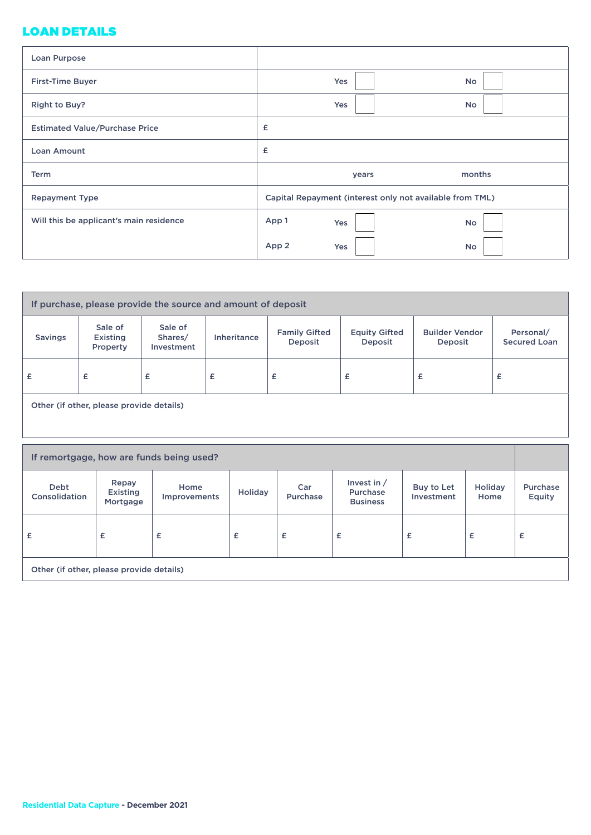# LOAN DETAILS

| Loan Purpose                            |              |                                                          |
|-----------------------------------------|--------------|----------------------------------------------------------|
| <b>First-Time Buyer</b>                 | Yes          | <b>No</b>                                                |
| Right to Buy?                           | Yes          | <b>No</b>                                                |
| <b>Estimated Value/Purchase Price</b>   | £            |                                                          |
| <b>Loan Amount</b>                      | £            |                                                          |
| <b>Term</b>                             | years        | months                                                   |
| <b>Repayment Type</b>                   |              | Capital Repayment (interest only not available from TML) |
| Will this be applicant's main residence | App 1<br>Yes | <b>No</b>                                                |
|                                         | App 2<br>Yes | <b>No</b>                                                |

| If purchase, please provide the source and amount of deposit |                                 |                                  |                    |                                 |                                 |                                  |                                  |
|--------------------------------------------------------------|---------------------------------|----------------------------------|--------------------|---------------------------------|---------------------------------|----------------------------------|----------------------------------|
| <b>Savings</b>                                               | Sale of<br>Existing<br>Property | Sale of<br>Shares/<br>Investment | <b>Inheritance</b> | <b>Family Gifted</b><br>Deposit | <b>Equity Gifted</b><br>Deposit | <b>Builder Vendor</b><br>Deposit | Personal/<br><b>Secured Loan</b> |
| £                                                            | £                               | £                                | £                  | £                               | £                               | £                                | £                                |
| Other (if other, please provide details)                     |                                 |                                  |                    |                                 |                                 |                                  |                                  |
| If remortgage, how are funds being used?                     |                                 |                                  |                    |                                 |                                 |                                  |                                  |

| <b>Debt</b><br>Consolidation             | Repay<br>Existing<br>Mortgage | Home<br>Improvements | Holiday | Car<br><b>Purchase</b> | Invest in $/$<br>Purchase<br><b>Business</b> | Buy to Let<br>Investment | Holiday<br>Home | Purchase<br>Equity |
|------------------------------------------|-------------------------------|----------------------|---------|------------------------|----------------------------------------------|--------------------------|-----------------|--------------------|
| £                                        | £                             | £                    | £       | £                      | £                                            | £                        | £               | £                  |
| Other (if other, please provide details) |                               |                      |         |                        |                                              |                          |                 |                    |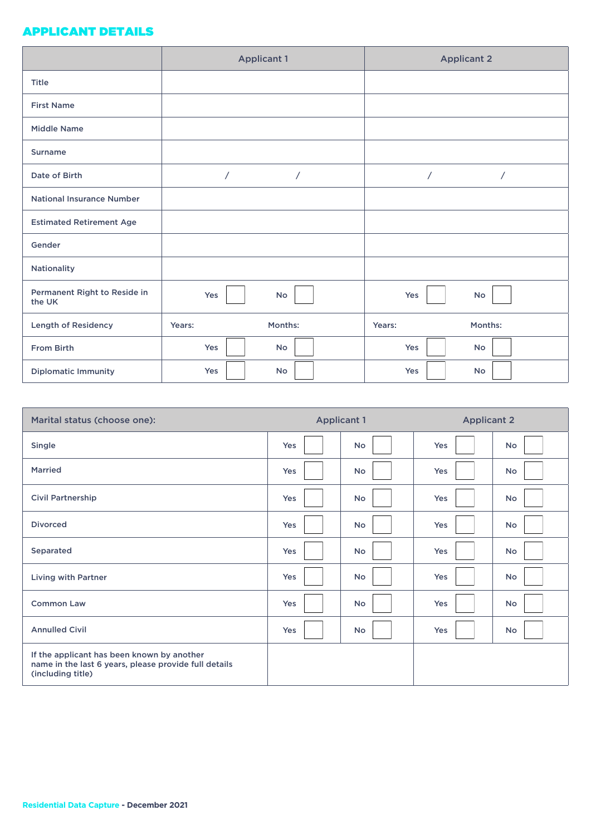### APPLICANT DETAILS

|                                        | <b>Applicant 1</b>           | <b>Applicant 2</b>       |
|----------------------------------------|------------------------------|--------------------------|
| <b>Title</b>                           |                              |                          |
| <b>First Name</b>                      |                              |                          |
| <b>Middle Name</b>                     |                              |                          |
| <b>Surname</b>                         |                              |                          |
| Date of Birth                          | $\overline{1}$<br>$\sqrt{2}$ | $\sqrt{2}$<br>$\sqrt{2}$ |
| <b>National Insurance Number</b>       |                              |                          |
| <b>Estimated Retirement Age</b>        |                              |                          |
| Gender                                 |                              |                          |
| Nationality                            |                              |                          |
| Permanent Right to Reside in<br>the UK | No<br>Yes                    | Yes<br>No                |
| <b>Length of Residency</b>             | Months:<br>Years:            | Months:<br>Years:        |
| From Birth                             | Yes<br><b>No</b>             | Yes<br>No                |
| <b>Diplomatic Immunity</b>             | Yes<br><b>No</b>             | Yes<br>No                |

| Marital status (choose one):                                                                                             |     | <b>Applicant 1</b> | <b>Applicant 2</b> |           |
|--------------------------------------------------------------------------------------------------------------------------|-----|--------------------|--------------------|-----------|
| Single                                                                                                                   | Yes | <b>No</b>          | Yes                | No        |
| <b>Married</b>                                                                                                           | Yes | No                 | Yes                | No        |
| <b>Civil Partnership</b>                                                                                                 | Yes | No                 | Yes                | No        |
| <b>Divorced</b>                                                                                                          | Yes | <b>No</b>          | Yes                | No        |
| Separated                                                                                                                | Yes | No                 | Yes                | No        |
| Living with Partner                                                                                                      | Yes | <b>No</b>          | <b>Yes</b>         | <b>No</b> |
| <b>Common Law</b>                                                                                                        | Yes | No                 | Yes                | No        |
| <b>Annulled Civil</b>                                                                                                    | Yes | No                 | Yes                | No        |
| If the applicant has been known by another<br>name in the last 6 years, please provide full details<br>(including title) |     |                    |                    |           |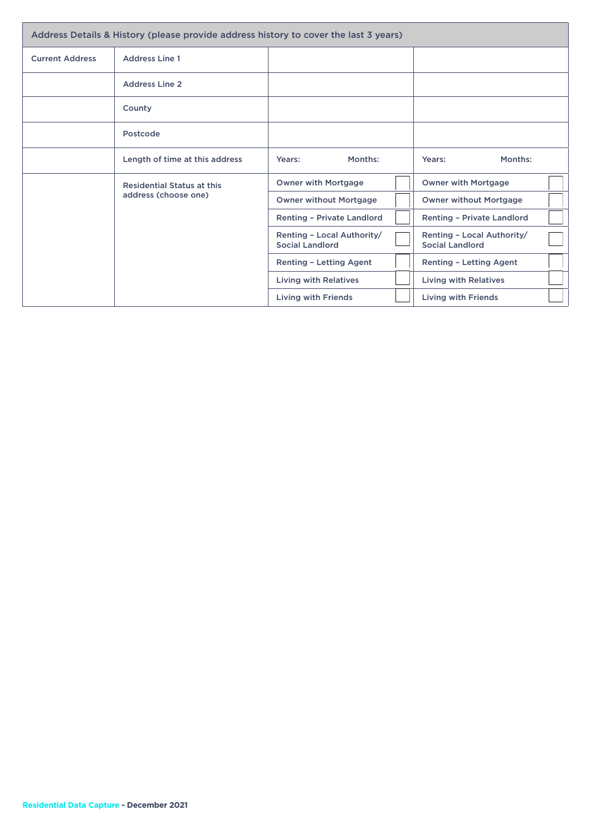| Address Details & History (please provide address history to cover the last 3 years) |                                   |                                                      |  |                                                      |  |
|--------------------------------------------------------------------------------------|-----------------------------------|------------------------------------------------------|--|------------------------------------------------------|--|
| <b>Current Address</b>                                                               | <b>Address Line 1</b>             |                                                      |  |                                                      |  |
|                                                                                      | <b>Address Line 2</b>             |                                                      |  |                                                      |  |
|                                                                                      | County                            |                                                      |  |                                                      |  |
|                                                                                      | Postcode                          |                                                      |  |                                                      |  |
|                                                                                      | Length of time at this address    | Months:<br>Years:                                    |  | Months:<br>Years:                                    |  |
|                                                                                      | <b>Residential Status at this</b> | <b>Owner with Mortgage</b>                           |  | <b>Owner with Mortgage</b>                           |  |
|                                                                                      | address (choose one)              | <b>Owner without Mortgage</b>                        |  | <b>Owner without Mortgage</b>                        |  |
|                                                                                      |                                   | <b>Renting - Private Landlord</b>                    |  | <b>Renting - Private Landlord</b>                    |  |
|                                                                                      |                                   | Renting - Local Authority/<br><b>Social Landlord</b> |  | Renting - Local Authority/<br><b>Social Landlord</b> |  |
|                                                                                      |                                   | <b>Renting - Letting Agent</b>                       |  | <b>Renting - Letting Agent</b>                       |  |
|                                                                                      |                                   | <b>Living with Relatives</b>                         |  | <b>Living with Relatives</b>                         |  |
|                                                                                      |                                   | <b>Living with Friends</b>                           |  | <b>Living with Friends</b>                           |  |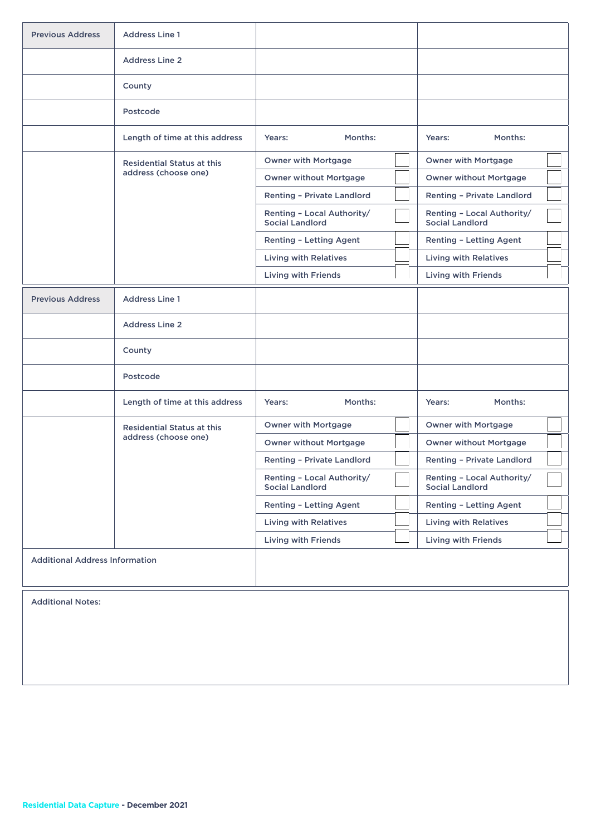| <b>Previous Address</b>               | <b>Address Line 1</b>             |                                                      |                                                      |
|---------------------------------------|-----------------------------------|------------------------------------------------------|------------------------------------------------------|
|                                       | <b>Address Line 2</b>             |                                                      |                                                      |
|                                       | County                            |                                                      |                                                      |
|                                       | Postcode                          |                                                      |                                                      |
|                                       | Length of time at this address    | Months:<br>Years:                                    | Months:<br>Years:                                    |
|                                       | <b>Residential Status at this</b> | <b>Owner with Mortgage</b>                           | <b>Owner with Mortgage</b>                           |
|                                       | address (choose one)              | <b>Owner without Mortgage</b>                        | <b>Owner without Mortgage</b>                        |
|                                       |                                   | Renting - Private Landlord                           | Renting - Private Landlord                           |
|                                       |                                   | Renting - Local Authority/<br><b>Social Landlord</b> | Renting - Local Authority/<br><b>Social Landlord</b> |
|                                       |                                   | <b>Renting - Letting Agent</b>                       | <b>Renting - Letting Agent</b>                       |
|                                       |                                   | <b>Living with Relatives</b>                         | <b>Living with Relatives</b>                         |
|                                       |                                   | <b>Living with Friends</b>                           | <b>Living with Friends</b>                           |
| <b>Previous Address</b>               | <b>Address Line 1</b>             |                                                      |                                                      |
|                                       | <b>Address Line 2</b>             |                                                      |                                                      |
|                                       | County                            |                                                      |                                                      |
|                                       | Postcode                          |                                                      |                                                      |
|                                       | Length of time at this address    | Months:<br>Years:                                    | Months:<br>Years:                                    |
|                                       | <b>Residential Status at this</b> | <b>Owner with Mortgage</b>                           | <b>Owner with Mortgage</b>                           |
|                                       | address (choose one)              | <b>Owner without Mortgage</b>                        | <b>Owner without Mortgage</b>                        |
|                                       |                                   | <b>Renting - Private Landlord</b>                    | <b>Renting - Private Landlord</b>                    |
|                                       |                                   | Renting - Local Authority/<br><b>Social Landlord</b> | Renting - Local Authority/<br><b>Social Landlord</b> |
|                                       |                                   | <b>Renting - Letting Agent</b>                       | <b>Renting - Letting Agent</b>                       |
|                                       |                                   | <b>Living with Relatives</b>                         | <b>Living with Relatives</b>                         |
|                                       |                                   | <b>Living with Friends</b>                           | <b>Living with Friends</b>                           |
| <b>Additional Address Information</b> |                                   |                                                      |                                                      |

Additional Notes: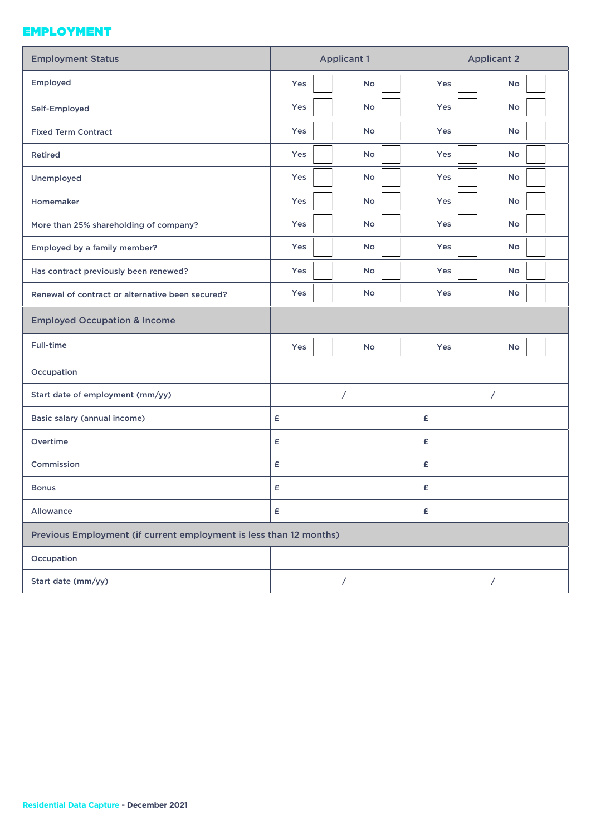### EMPLOYMENT

| <b>Employment Status</b>                                           | <b>Applicant 1</b> | <b>Applicant 2</b> |
|--------------------------------------------------------------------|--------------------|--------------------|
| Employed                                                           | <b>No</b><br>Yes   | Yes<br><b>No</b>   |
| Self-Employed                                                      | <b>No</b><br>Yes   | Yes<br><b>No</b>   |
| <b>Fixed Term Contract</b>                                         | <b>No</b><br>Yes   | Yes<br><b>No</b>   |
| Retired                                                            | Yes<br>No          | Yes<br>No          |
| Unemployed                                                         | Yes<br>No          | Yes<br><b>No</b>   |
| Homemaker                                                          | Yes<br>No          | Yes<br><b>No</b>   |
| More than 25% shareholding of company?                             | Yes<br>No          | Yes<br><b>No</b>   |
| Employed by a family member?                                       | <b>No</b><br>Yes   | Yes<br><b>No</b>   |
| Has contract previously been renewed?                              | <b>No</b><br>Yes   | Yes<br><b>No</b>   |
| Renewal of contract or alternative been secured?                   | Yes<br><b>No</b>   | Yes<br><b>No</b>   |
| <b>Employed Occupation &amp; Income</b>                            |                    |                    |
| Full-time                                                          | Yes<br><b>No</b>   | Yes<br><b>No</b>   |
| Occupation                                                         |                    |                    |
| Start date of employment (mm/yy)                                   | Τ                  | 7                  |
| Basic salary (annual income)                                       | £                  | £                  |
| Overtime                                                           | £                  | £                  |
| Commission                                                         | £                  | £                  |
| <b>Bonus</b>                                                       | £                  | £                  |
| Allowance                                                          | £                  | £                  |
| Previous Employment (if current employment is less than 12 months) |                    |                    |
| Occupation                                                         |                    |                    |
| Start date (mm/yy)                                                 | Γ                  | $\sqrt{2}$         |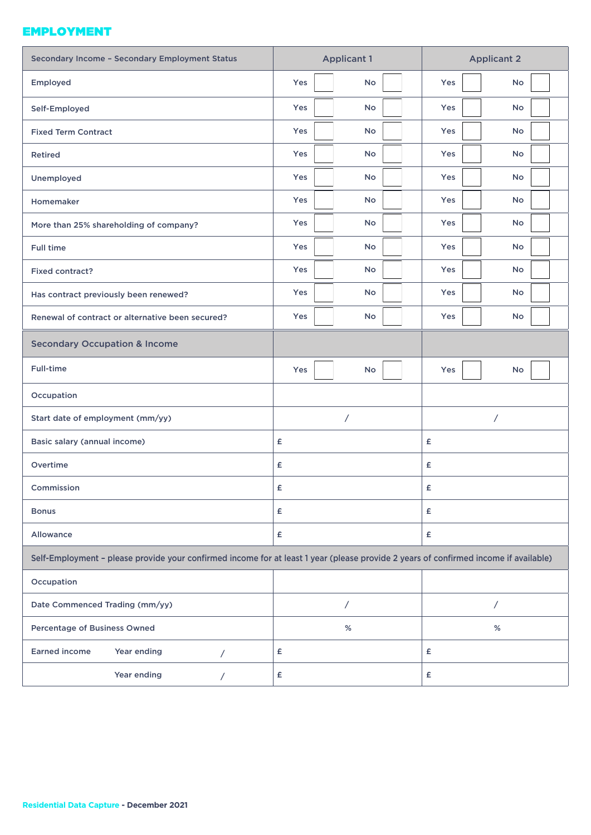### EMPLOYMENT

| Secondary Income - Secondary Employment Status                                                                                       | <b>Applicant 1</b>      | <b>Applicant 2</b>      |
|--------------------------------------------------------------------------------------------------------------------------------------|-------------------------|-------------------------|
| Employed                                                                                                                             | Yes<br><b>No</b>        | Yes<br>No               |
| Self-Employed                                                                                                                        | Yes<br>No               | Yes<br>No               |
| <b>Fixed Term Contract</b>                                                                                                           | Yes<br><b>No</b>        | <b>Yes</b><br><b>No</b> |
| <b>Retired</b>                                                                                                                       | Yes<br>No               | Yes<br>No               |
| Unemployed                                                                                                                           | <b>Yes</b><br><b>No</b> | Yes<br><b>No</b>        |
| Homemaker                                                                                                                            | Yes<br>No               | Yes<br>No               |
| More than 25% shareholding of company?                                                                                               | Yes<br>No               | <b>Yes</b><br><b>No</b> |
| <b>Full time</b>                                                                                                                     | Yes<br>No               | Yes<br><b>No</b>        |
| Fixed contract?                                                                                                                      | Yes<br>No               | Yes<br>No               |
| Has contract previously been renewed?                                                                                                | Yes<br><b>No</b>        | Yes<br><b>No</b>        |
| Renewal of contract or alternative been secured?                                                                                     | Yes<br>No               | Yes<br>No               |
| <b>Secondary Occupation &amp; Income</b>                                                                                             |                         |                         |
| Full-time                                                                                                                            | Yes<br>No               | Yes<br>No               |
| Occupation                                                                                                                           |                         |                         |
| Start date of employment (mm/yy)                                                                                                     | Γ                       | $\sqrt{2}$              |
| Basic salary (annual income)                                                                                                         | £                       | £                       |
| Overtime                                                                                                                             | £                       | £                       |
| Commission                                                                                                                           | £                       | £                       |
| <b>Bonus</b>                                                                                                                         | £                       | £                       |
| Allowance                                                                                                                            | £                       | £                       |
| Self-Employment - please provide your confirmed income for at least 1 year (please provide 2 years of confirmed income if available) |                         |                         |
| Occupation                                                                                                                           |                         |                         |
| Date Commenced Trading (mm/yy)                                                                                                       | $\overline{1}$          | $\sqrt{2}$              |
| Percentage of Business Owned                                                                                                         | %                       | %                       |
| <b>Earned income</b><br>Year ending<br>$\sqrt{2}$                                                                                    | £                       | £                       |
| Year ending<br>Τ                                                                                                                     | £                       | £                       |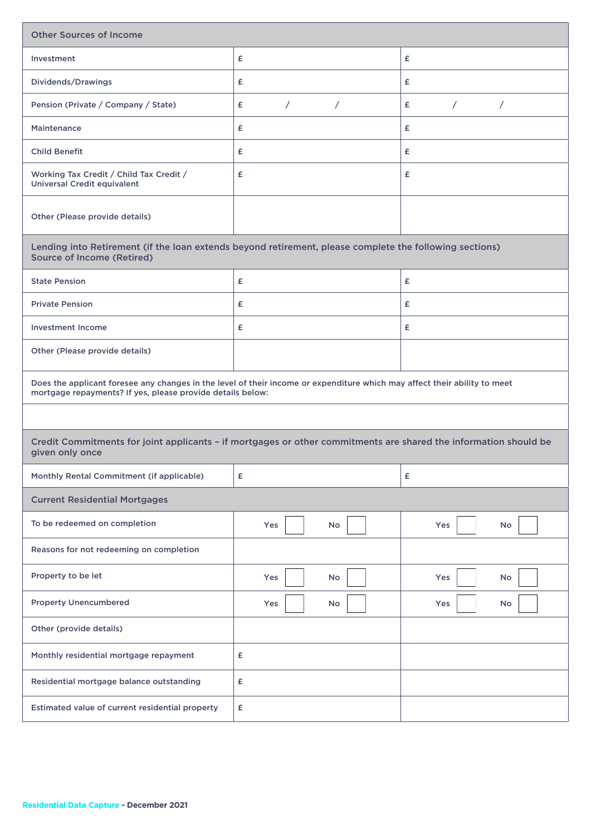| <b>Other Sources of Income</b>                                                                                                                                                          |                               |                               |  |  |
|-----------------------------------------------------------------------------------------------------------------------------------------------------------------------------------------|-------------------------------|-------------------------------|--|--|
| Investment                                                                                                                                                                              | £                             | £                             |  |  |
| Dividends/Drawings                                                                                                                                                                      | £                             | £                             |  |  |
| Pension (Private / Company / State)                                                                                                                                                     | $\sqrt{2}$<br>$\sqrt{2}$<br>£ | $\sqrt{2}$<br>£<br>$\sqrt{2}$ |  |  |
| <b>Maintenance</b>                                                                                                                                                                      | £                             | £                             |  |  |
| <b>Child Benefit</b>                                                                                                                                                                    | £                             | £                             |  |  |
| Working Tax Credit / Child Tax Credit /<br><b>Universal Credit equivalent</b>                                                                                                           | £                             | £                             |  |  |
| Other (Please provide details)                                                                                                                                                          |                               |                               |  |  |
| Lending into Retirement (if the loan extends beyond retirement, please complete the following sections)<br><b>Source of Income (Retired)</b>                                            |                               |                               |  |  |
| <b>State Pension</b>                                                                                                                                                                    | £                             | £                             |  |  |
| <b>Private Pension</b>                                                                                                                                                                  | £                             | £                             |  |  |
| <b>Investment Income</b>                                                                                                                                                                | £                             | £                             |  |  |
| Other (Please provide details)                                                                                                                                                          |                               |                               |  |  |
| Does the applicant foresee any changes in the level of their income or expenditure which may affect their ability to meet<br>mortgage repayments? If yes, please provide details below: |                               |                               |  |  |
|                                                                                                                                                                                         |                               |                               |  |  |
| Credit Commitments for joint applicants - if mortgages or other commitments are shared the information should be<br>given only once                                                     |                               |                               |  |  |
| Monthly Rental Commitment (if applicable)                                                                                                                                               | £                             | £                             |  |  |
| <b>Current Residential Mortgages</b>                                                                                                                                                    |                               |                               |  |  |
| To be redeemed on completion                                                                                                                                                            | <b>No</b><br>Yes              | Yes<br>No                     |  |  |
| Reasons for not redeeming on completion                                                                                                                                                 |                               |                               |  |  |
| Property to be let                                                                                                                                                                      | Yes<br>No                     | Yes<br>No                     |  |  |
| <b>Property Unencumbered</b>                                                                                                                                                            | Yes<br>No                     | Yes<br>No                     |  |  |
| Other (provide details)                                                                                                                                                                 |                               |                               |  |  |
| Monthly residential mortgage repayment                                                                                                                                                  | £                             |                               |  |  |
| Residential mortgage balance outstanding                                                                                                                                                | £                             |                               |  |  |
| Estimated value of current residential property                                                                                                                                         | £                             |                               |  |  |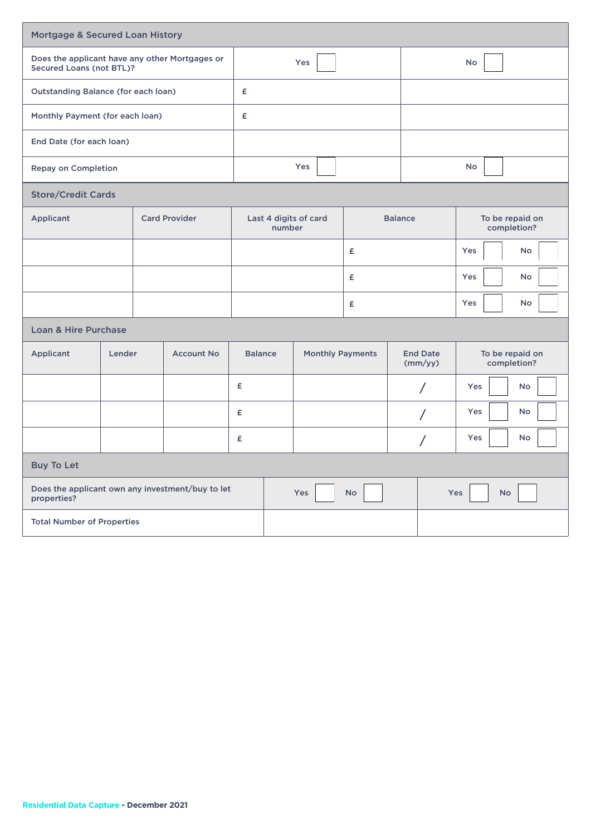|                                                                            | Mortgage & Secured Loan History   |   |                      |                                           |     |                  |                                |                                |           |                  |  |
|----------------------------------------------------------------------------|-----------------------------------|---|----------------------|-------------------------------------------|-----|------------------|--------------------------------|--------------------------------|-----------|------------------|--|
| Does the applicant have any other Mortgages or<br>Secured Loans (not BTL)? |                                   |   |                      | Yes                                       |     |                  |                                | <b>No</b>                      |           |                  |  |
| <b>Outstanding Balance (for each loan)</b>                                 |                                   |   | £                    |                                           |     |                  |                                |                                |           |                  |  |
| Monthly Payment (for each loan)                                            |                                   |   | £                    |                                           |     |                  |                                |                                |           |                  |  |
| End Date (for each loan)                                                   |                                   |   |                      |                                           |     |                  |                                |                                |           |                  |  |
| <b>Repay on Completion</b>                                                 |                                   |   |                      |                                           |     | Yes              |                                |                                |           | <b>No</b>        |  |
| <b>Store/Credit Cards</b>                                                  |                                   |   |                      |                                           |     |                  |                                |                                |           |                  |  |
| Applicant                                                                  |                                   |   | <b>Card Provider</b> | Last 4 digits of card<br>number           |     | <b>Balance</b>   | To be repaid on<br>completion? |                                |           |                  |  |
|                                                                            |                                   | £ |                      |                                           |     | Yes<br><b>No</b> |                                |                                |           |                  |  |
|                                                                            |                                   | £ |                      |                                           |     | Yes<br><b>No</b> |                                |                                |           |                  |  |
|                                                                            |                                   |   |                      | £                                         |     |                  |                                | Yes<br>No                      |           |                  |  |
| <b>Loan &amp; Hire Purchase</b>                                            |                                   |   |                      |                                           |     |                  |                                |                                |           |                  |  |
| Applicant                                                                  | Lender                            |   | <b>Account No</b>    | <b>Balance</b><br><b>Monthly Payments</b> |     |                  | <b>End Date</b><br>(mm/yy)     | To be repaid on<br>completion? |           |                  |  |
|                                                                            |                                   |   |                      | £                                         |     |                  |                                |                                | $\prime$  | Yes<br><b>No</b> |  |
|                                                                            |                                   |   |                      | £                                         |     |                  |                                |                                | $\prime$  | Yes<br>No        |  |
|                                                                            |                                   |   |                      | £                                         |     |                  |                                |                                | $\prime$  | No<br>Yes        |  |
| <b>Buy To Let</b>                                                          |                                   |   |                      |                                           |     |                  |                                |                                |           |                  |  |
| Does the applicant own any investment/buy to let<br>properties?            |                                   |   |                      |                                           | Yes | <b>No</b>        |                                | Yes                            | <b>No</b> |                  |  |
|                                                                            | <b>Total Number of Properties</b> |   |                      |                                           |     |                  |                                |                                |           |                  |  |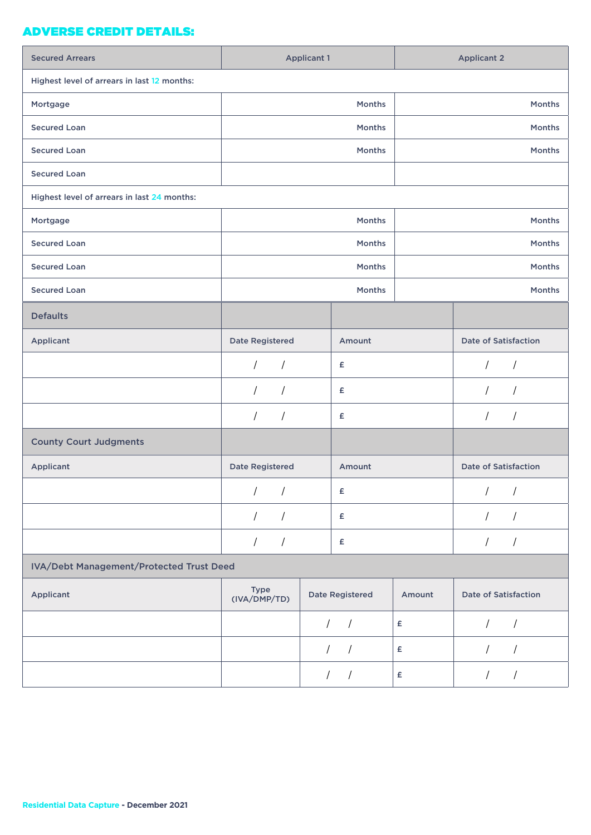## ADVERSE CREDIT DETAILS:

| <b>Secured Arrears</b>                      |                             | <b>Applicant 1</b>       |        | <b>Applicant 2</b>          |
|---------------------------------------------|-----------------------------|--------------------------|--------|-----------------------------|
| Highest level of arrears in last 12 months: |                             |                          |        |                             |
| Mortgage                                    |                             | Months                   |        | Months                      |
| <b>Secured Loan</b>                         |                             | Months                   |        | Months                      |
| <b>Secured Loan</b>                         |                             | Months                   |        | Months                      |
| <b>Secured Loan</b>                         |                             |                          |        |                             |
| Highest level of arrears in last 24 months: |                             |                          |        |                             |
| Mortgage                                    |                             | Months                   |        | Months                      |
| <b>Secured Loan</b>                         |                             | Months                   |        | Months                      |
| <b>Secured Loan</b>                         |                             | Months                   |        | Months                      |
| <b>Secured Loan</b>                         |                             | Months                   |        | Months                      |
| <b>Defaults</b>                             |                             |                          |        |                             |
| Applicant                                   | <b>Date Registered</b>      | Amount                   |        | <b>Date of Satisfaction</b> |
|                                             | $\prime$<br>$\sqrt{2}$      | £                        |        | $\sqrt{2}$<br>$\sqrt{2}$    |
|                                             | $\sqrt{2}$<br>$\sqrt{ }$    | £                        |        | $\sqrt{2}$<br>$\sqrt{2}$    |
|                                             | $\sqrt{ }$<br>$\sqrt{ }$    | £                        |        | $\prime$<br>$\prime$        |
| <b>County Court Judgments</b>               |                             |                          |        |                             |
| Applicant                                   | <b>Date Registered</b>      | Amount                   |        | <b>Date of Satisfaction</b> |
|                                             | $\frac{1}{2}$               | £                        |        | $\frac{1}{2}$               |
|                                             | $\sqrt{2}$<br>$\prime$      | £                        |        | $\prime$<br>$\overline{1}$  |
|                                             | $\sqrt{ }$<br>$\sqrt{ }$    | $\pmb{\epsilon}$         |        | $\sqrt{2}$<br>$\sqrt{2}$    |
| IVA/Debt Management/Protected Trust Deed    |                             |                          |        |                             |
| Applicant                                   | <b>Type</b><br>(IVA/DMP/TD) | <b>Date Registered</b>   | Amount | <b>Date of Satisfaction</b> |
|                                             |                             | $\sqrt{2}$<br>$\sqrt{2}$ | £      | $\sqrt{2}$<br>$\sqrt{2}$    |
|                                             |                             | $\prime$<br>$\sqrt{ }$   | £      | $\overline{1}$<br>1         |
|                                             |                             | $\sqrt{2}$               | £      | $\sqrt{2}$<br>$\prime$      |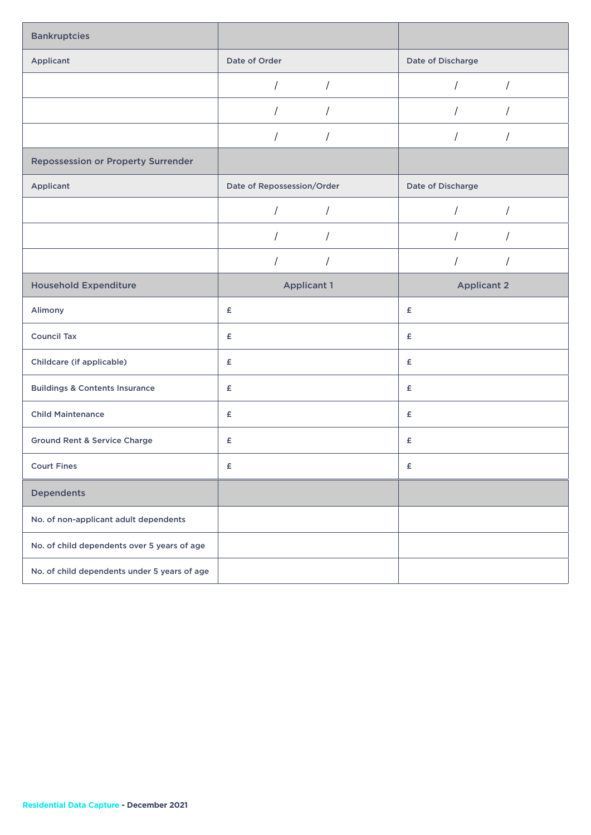| <b>Bankruptcies</b>                          |                            |                              |
|----------------------------------------------|----------------------------|------------------------------|
| Applicant                                    | Date of Order              | Date of Discharge            |
|                                              | $\sqrt{2}$                 | $\sqrt{2}$<br>T              |
|                                              |                            | $\prime$                     |
|                                              |                            | $\prime$                     |
| <b>Repossession or Property Surrender</b>    |                            |                              |
| Applicant                                    | Date of Repossession/Order | Date of Discharge            |
|                                              | $\sqrt{2}$                 | $\overline{1}$<br>$\sqrt{ }$ |
|                                              | $\sqrt{2}$<br>$\sqrt{2}$   | $\prime$<br>T                |
|                                              | $\sqrt{2}$<br>$\sqrt{2}$   | $\overline{1}$<br>$\prime$   |
| <b>Household Expenditure</b>                 | <b>Applicant 1</b>         | <b>Applicant 2</b>           |
| Alimony                                      | £                          | £                            |
| <b>Council Tax</b>                           | £                          | £                            |
| Childcare (if applicable)                    | £                          | £                            |
| <b>Buildings &amp; Contents Insurance</b>    | £                          | £                            |
| <b>Child Maintenance</b>                     | £                          | £                            |
| <b>Ground Rent &amp; Service Charge</b>      | £                          | £                            |
| <b>Court Fines</b>                           | £                          | $\pmb{\mathsf{E}}$           |
| <b>Dependents</b>                            |                            |                              |
| No. of non-applicant adult dependents        |                            |                              |
| No. of child dependents over 5 years of age  |                            |                              |
| No. of child dependents under 5 years of age |                            |                              |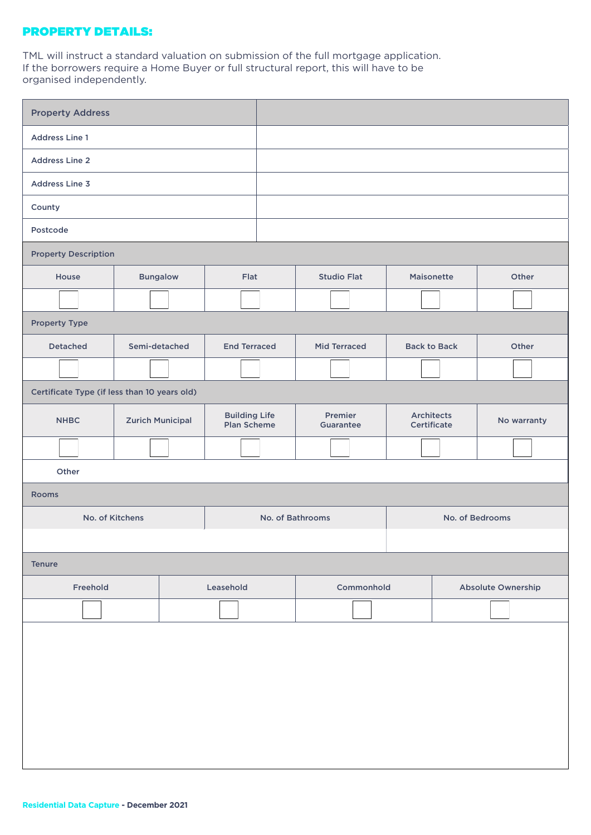### PROPERTY DETAILS:

TML will instruct a standard valuation on submission of the full mortgage application. If the borrowers require a Home Buyer or full structural report, this will have to be organised independently.

| <b>Property Address</b>     |                                              |                         |                                            |                  |                      |  |                                  |                 |             |  |
|-----------------------------|----------------------------------------------|-------------------------|--------------------------------------------|------------------|----------------------|--|----------------------------------|-----------------|-------------|--|
| <b>Address Line 1</b>       |                                              |                         |                                            |                  |                      |  |                                  |                 |             |  |
| <b>Address Line 2</b>       |                                              |                         |                                            |                  |                      |  |                                  |                 |             |  |
| <b>Address Line 3</b>       |                                              |                         |                                            |                  |                      |  |                                  |                 |             |  |
| County                      |                                              |                         |                                            |                  |                      |  |                                  |                 |             |  |
| Postcode                    |                                              |                         |                                            |                  |                      |  |                                  |                 |             |  |
| <b>Property Description</b> |                                              |                         |                                            |                  |                      |  |                                  |                 |             |  |
| House                       | <b>Bungalow</b>                              |                         | Flat                                       |                  | <b>Studio Flat</b>   |  | Maisonette                       |                 | Other       |  |
|                             |                                              |                         |                                            |                  |                      |  |                                  |                 |             |  |
| <b>Property Type</b>        |                                              |                         |                                            |                  |                      |  |                                  |                 |             |  |
| <b>Detached</b>             |                                              | Semi-detached           | <b>End Terraced</b>                        |                  | <b>Mid Terraced</b>  |  | <b>Back to Back</b>              |                 | Other       |  |
|                             |                                              |                         |                                            |                  |                      |  |                                  |                 |             |  |
|                             | Certificate Type (if less than 10 years old) |                         |                                            |                  |                      |  |                                  |                 |             |  |
| <b>NHBC</b>                 |                                              | <b>Zurich Municipal</b> | <b>Building Life</b><br><b>Plan Scheme</b> |                  | Premier<br>Guarantee |  | <b>Architects</b><br>Certificate |                 | No warranty |  |
|                             |                                              |                         |                                            |                  |                      |  |                                  |                 |             |  |
| Other                       |                                              |                         |                                            |                  |                      |  |                                  |                 |             |  |
| <b>Rooms</b>                |                                              |                         |                                            |                  |                      |  |                                  |                 |             |  |
|                             | No. of Kitchens                              |                         |                                            | No. of Bathrooms |                      |  |                                  | No. of Bedrooms |             |  |
|                             |                                              |                         |                                            |                  |                      |  |                                  |                 |             |  |
| <b>Tenure</b>               |                                              |                         |                                            |                  |                      |  |                                  |                 |             |  |
| Freehold                    |                                              |                         | Leasehold                                  | Commonhold       |                      |  | Absolute Ownership               |                 |             |  |
|                             |                                              |                         |                                            |                  |                      |  |                                  |                 |             |  |
|                             |                                              |                         |                                            |                  |                      |  |                                  |                 |             |  |
|                             |                                              |                         |                                            |                  |                      |  |                                  |                 |             |  |
|                             |                                              |                         |                                            |                  |                      |  |                                  |                 |             |  |
|                             |                                              |                         |                                            |                  |                      |  |                                  |                 |             |  |
|                             |                                              |                         |                                            |                  |                      |  |                                  |                 |             |  |
|                             |                                              |                         |                                            |                  |                      |  |                                  |                 |             |  |
|                             |                                              |                         |                                            |                  |                      |  |                                  |                 |             |  |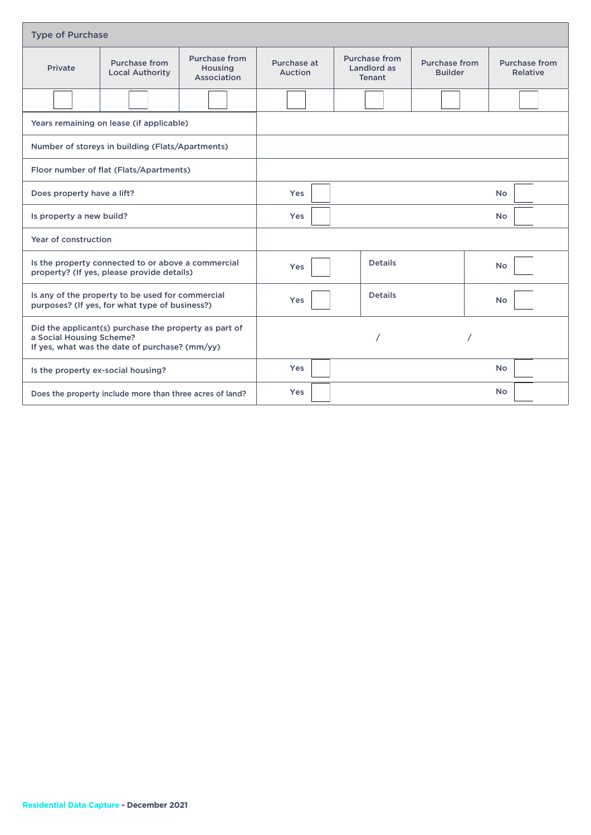|                                                                                                                                     | <b>Type of Purchase</b>                                  |                                                       |                               |  |                                                      |                                 |                                  |
|-------------------------------------------------------------------------------------------------------------------------------------|----------------------------------------------------------|-------------------------------------------------------|-------------------------------|--|------------------------------------------------------|---------------------------------|----------------------------------|
| Private                                                                                                                             | <b>Purchase from</b><br><b>Local Authority</b>           | <b>Purchase from</b><br><b>Housing</b><br>Association | Purchase at<br><b>Auction</b> |  | <b>Purchase from</b><br>Landlord as<br><b>Tenant</b> | Purchase from<br><b>Builder</b> | <b>Purchase from</b><br>Relative |
|                                                                                                                                     |                                                          |                                                       |                               |  |                                                      |                                 |                                  |
| Years remaining on lease (if applicable)                                                                                            |                                                          |                                                       |                               |  |                                                      |                                 |                                  |
|                                                                                                                                     | Number of storeys in building (Flats/Apartments)         |                                                       |                               |  |                                                      |                                 |                                  |
| Floor number of flat (Flats/Apartments)                                                                                             |                                                          |                                                       |                               |  |                                                      |                                 |                                  |
| Does property have a lift?                                                                                                          |                                                          |                                                       | <b>Yes</b>                    |  |                                                      |                                 | <b>No</b>                        |
| Is property a new build?                                                                                                            |                                                          |                                                       | Yes                           |  |                                                      |                                 | <b>No</b>                        |
| Year of construction                                                                                                                |                                                          |                                                       |                               |  |                                                      |                                 |                                  |
| Is the property connected to or above a commercial<br>property? (If yes, please provide details)                                    |                                                          |                                                       | Yes                           |  | <b>Details</b>                                       |                                 | No                               |
| Is any of the property to be used for commercial<br>purposes? (If yes, for what type of business?)                                  |                                                          |                                                       | Yes                           |  | <b>Details</b>                                       |                                 | <b>No</b>                        |
| Did the applicant(s) purchase the property as part of<br>a Social Housing Scheme?<br>If yes, what was the date of purchase? (mm/yy) |                                                          |                                                       |                               |  |                                                      |                                 |                                  |
| Is the property ex-social housing?                                                                                                  |                                                          |                                                       | <b>Yes</b>                    |  |                                                      |                                 | <b>No</b>                        |
|                                                                                                                                     | Does the property include more than three acres of land? |                                                       | Yes                           |  |                                                      |                                 | No                               |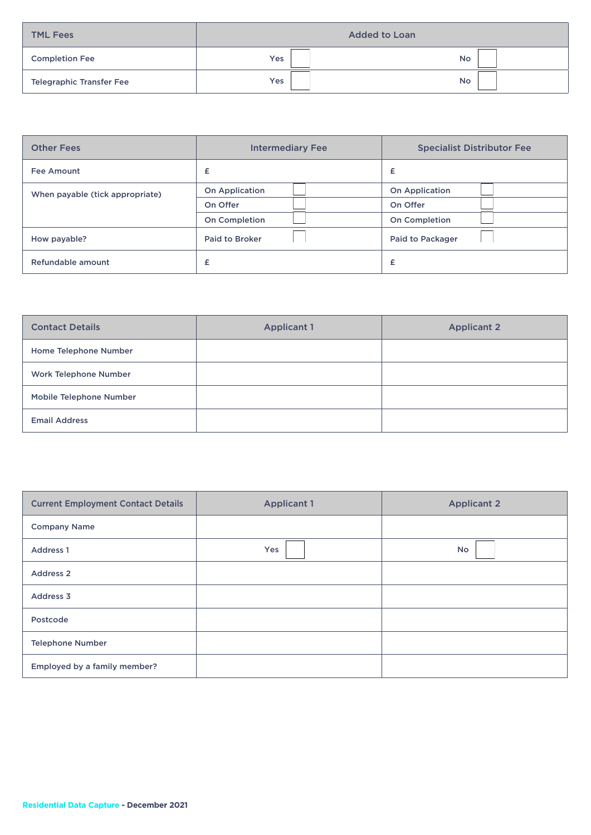| <b>TML Fees</b>                 |     | <b>Added to Loan</b> |
|---------------------------------|-----|----------------------|
| <b>Completion Fee</b>           | Yes | <b>No</b>            |
| <b>Telegraphic Transfer Fee</b> | Yes | <b>No</b>            |

| <b>Other Fees</b>               | <b>Intermediary Fee</b> | <b>Specialist Distributor Fee</b> |
|---------------------------------|-------------------------|-----------------------------------|
| <b>Fee Amount</b>               | £                       | £                                 |
| When payable (tick appropriate) | <b>On Application</b>   | <b>On Application</b>             |
|                                 | On Offer                | On Offer                          |
|                                 | <b>On Completion</b>    | <b>On Completion</b>              |
| How payable?                    | <b>Paid to Broker</b>   | Paid to Packager                  |
| Refundable amount               | £                       | £                                 |

| <b>Contact Details</b>       | <b>Applicant 1</b> | <b>Applicant 2</b> |
|------------------------------|--------------------|--------------------|
| Home Telephone Number        |                    |                    |
| <b>Work Telephone Number</b> |                    |                    |
| Mobile Telephone Number      |                    |                    |
| <b>Email Address</b>         |                    |                    |

| <b>Current Employment Contact Details</b> | <b>Applicant 1</b> | <b>Applicant 2</b> |
|-------------------------------------------|--------------------|--------------------|
| <b>Company Name</b>                       |                    |                    |
| <b>Address 1</b>                          | Yes                | <b>No</b>          |
| <b>Address 2</b>                          |                    |                    |
| Address 3                                 |                    |                    |
| Postcode                                  |                    |                    |
| <b>Telephone Number</b>                   |                    |                    |
| Employed by a family member?              |                    |                    |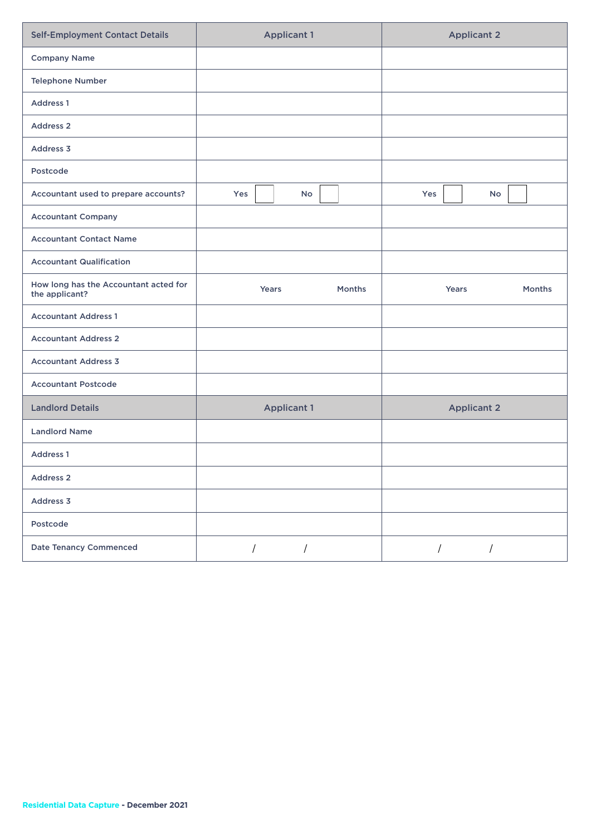| <b>Self-Employment Contact Details</b>                  | <b>Applicant 1</b>          | <b>Applicant 2</b>           |
|---------------------------------------------------------|-----------------------------|------------------------------|
| <b>Company Name</b>                                     |                             |                              |
| <b>Telephone Number</b>                                 |                             |                              |
| <b>Address 1</b>                                        |                             |                              |
| <b>Address 2</b>                                        |                             |                              |
| Address 3                                               |                             |                              |
| Postcode                                                |                             |                              |
| Accountant used to prepare accounts?                    | Yes<br>No                   | Yes<br>No                    |
| <b>Accountant Company</b>                               |                             |                              |
| <b>Accountant Contact Name</b>                          |                             |                              |
| <b>Accountant Qualification</b>                         |                             |                              |
| How long has the Accountant acted for<br>the applicant? | Years<br><b>Months</b>      | Years<br><b>Months</b>       |
| <b>Accountant Address 1</b>                             |                             |                              |
| <b>Accountant Address 2</b>                             |                             |                              |
| <b>Accountant Address 3</b>                             |                             |                              |
| <b>Accountant Postcode</b>                              |                             |                              |
| <b>Landlord Details</b>                                 | <b>Applicant 1</b>          | <b>Applicant 2</b>           |
| <b>Landlord Name</b>                                    |                             |                              |
| <b>Address 1</b>                                        |                             |                              |
| Address 2                                               |                             |                              |
| Address 3                                               |                             |                              |
| Postcode                                                |                             |                              |
| <b>Date Tenancy Commenced</b>                           | $\sqrt{2}$<br>$\frac{1}{2}$ | $\overline{1}$<br>$\sqrt{2}$ |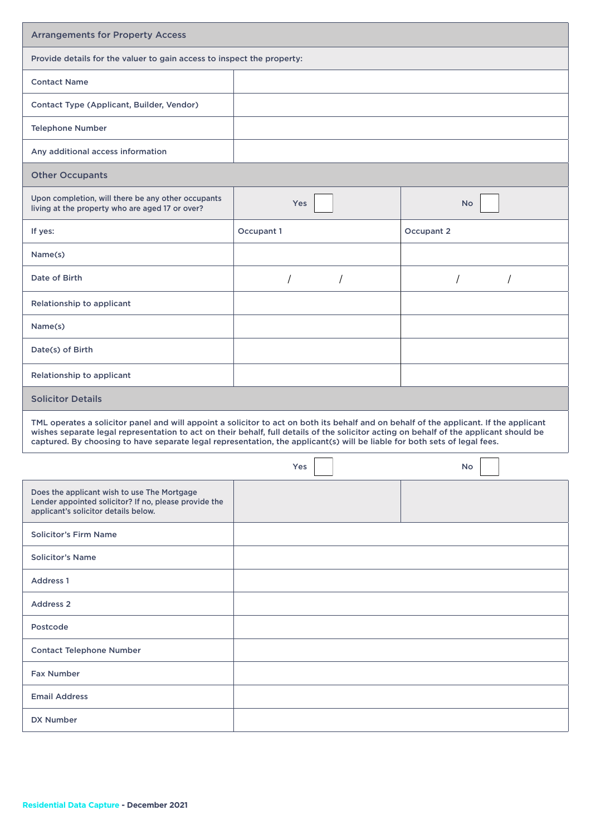| <b>Arrangements for Property Access</b>                                                                                                                                                                                                                                                                                                                                                                       |                                                                        |            |  |  |  |
|---------------------------------------------------------------------------------------------------------------------------------------------------------------------------------------------------------------------------------------------------------------------------------------------------------------------------------------------------------------------------------------------------------------|------------------------------------------------------------------------|------------|--|--|--|
|                                                                                                                                                                                                                                                                                                                                                                                                               | Provide details for the valuer to gain access to inspect the property: |            |  |  |  |
| <b>Contact Name</b>                                                                                                                                                                                                                                                                                                                                                                                           |                                                                        |            |  |  |  |
| Contact Type (Applicant, Builder, Vendor)                                                                                                                                                                                                                                                                                                                                                                     |                                                                        |            |  |  |  |
| <b>Telephone Number</b>                                                                                                                                                                                                                                                                                                                                                                                       |                                                                        |            |  |  |  |
| Any additional access information                                                                                                                                                                                                                                                                                                                                                                             |                                                                        |            |  |  |  |
| <b>Other Occupants</b>                                                                                                                                                                                                                                                                                                                                                                                        |                                                                        |            |  |  |  |
| Upon completion, will there be any other occupants<br>living at the property who are aged 17 or over?                                                                                                                                                                                                                                                                                                         | Yes                                                                    | <b>No</b>  |  |  |  |
| If yes:                                                                                                                                                                                                                                                                                                                                                                                                       | Occupant 1                                                             | Occupant 2 |  |  |  |
| Name(s)                                                                                                                                                                                                                                                                                                                                                                                                       |                                                                        |            |  |  |  |
| Date of Birth                                                                                                                                                                                                                                                                                                                                                                                                 | $\prime$                                                               |            |  |  |  |
| Relationship to applicant                                                                                                                                                                                                                                                                                                                                                                                     |                                                                        |            |  |  |  |
| Name(s)                                                                                                                                                                                                                                                                                                                                                                                                       |                                                                        |            |  |  |  |
| Date(s) of Birth                                                                                                                                                                                                                                                                                                                                                                                              |                                                                        |            |  |  |  |
| Relationship to applicant                                                                                                                                                                                                                                                                                                                                                                                     |                                                                        |            |  |  |  |
| <b>Solicitor Details</b>                                                                                                                                                                                                                                                                                                                                                                                      |                                                                        |            |  |  |  |
| TML operates a solicitor panel and will appoint a solicitor to act on both its behalf and on behalf of the applicant. If the applicant<br>wishes separate legal representation to act on their behalf, full details of the solicitor acting on behalf of the applicant should be<br>captured. By choosing to have separate legal representation, the applicant(s) will be liable for both sets of legal fees. |                                                                        |            |  |  |  |
|                                                                                                                                                                                                                                                                                                                                                                                                               | Yes                                                                    | <b>No</b>  |  |  |  |
| Does the applicant wish to use The Mortgage<br>Lender appointed solicitor? If no, please provide the<br>applicant's solicitor details below.                                                                                                                                                                                                                                                                  |                                                                        |            |  |  |  |
| <b>Solicitor's Firm Name</b>                                                                                                                                                                                                                                                                                                                                                                                  |                                                                        |            |  |  |  |
| <b>Solicitor's Name</b>                                                                                                                                                                                                                                                                                                                                                                                       |                                                                        |            |  |  |  |
| Address <sub>1</sub>                                                                                                                                                                                                                                                                                                                                                                                          |                                                                        |            |  |  |  |
| <b>Address 2</b>                                                                                                                                                                                                                                                                                                                                                                                              |                                                                        |            |  |  |  |
| Postcode                                                                                                                                                                                                                                                                                                                                                                                                      |                                                                        |            |  |  |  |
| <b>Contact Telephone Number</b>                                                                                                                                                                                                                                                                                                                                                                               |                                                                        |            |  |  |  |
| <b>Fax Number</b>                                                                                                                                                                                                                                                                                                                                                                                             |                                                                        |            |  |  |  |
| <b>Email Address</b>                                                                                                                                                                                                                                                                                                                                                                                          |                                                                        |            |  |  |  |
| <b>DX Number</b>                                                                                                                                                                                                                                                                                                                                                                                              |                                                                        |            |  |  |  |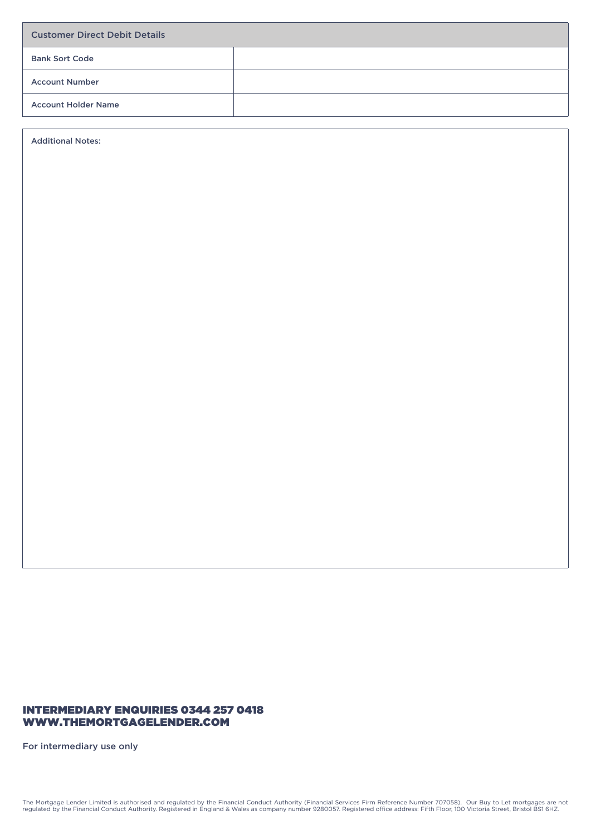| <b>Customer Direct Debit Details</b> |  |  |
|--------------------------------------|--|--|
| <b>Bank Sort Code</b>                |  |  |
| <b>Account Number</b>                |  |  |
| <b>Account Holder Name</b>           |  |  |

Additional Notes:

### INTERMEDIARY ENQUIRIES 0344 257 0418 WWW.THEMORTGAGELENDER.COM

For intermediary use only